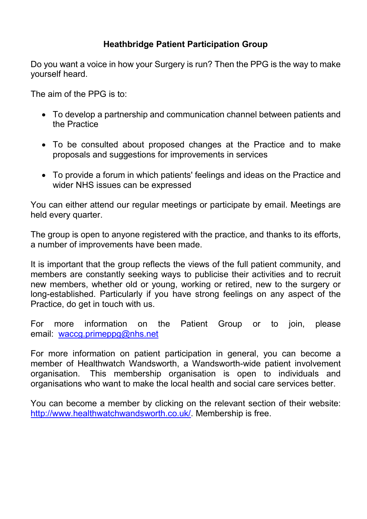## Heathbridge Patient Participation Group

Do you want a voice in how your Surgery is run? Then the PPG is the way to make yourself heard.

The aim of the PPG is to:

- To develop a partnership and communication channel between patients and the Practice
- To be consulted about proposed changes at the Practice and to make proposals and suggestions for improvements in services
- To provide a forum in which patients' feelings and ideas on the Practice and wider NHS issues can be expressed

You can either attend our regular meetings or participate by email. Meetings are held every quarter.

The group is open to anyone registered with the practice, and thanks to its efforts, a number of improvements have been made.

It is important that the group reflects the views of the full patient community, and members are constantly seeking ways to publicise their activities and to recruit new members, whether old or young, working or retired, new to the surgery or long-established. Particularly if you have strong feelings on any aspect of the Practice, do get in touch with us.

For more information on the Patient Group or to join, please email: waccg.primeppg@nhs.net

For more information on patient participation in general, you can become a member of Healthwatch Wandsworth, a Wandsworth-wide patient involvement organisation. This membership organisation is open to individuals and organisations who want to make the local health and social care services better.

You can become a member by clicking on the relevant section of their website: http://www.healthwatchwandsworth.co.uk/. Membership is free.